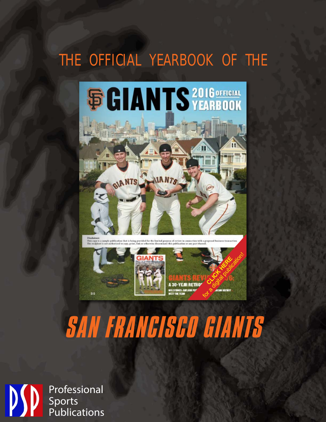## THE OFFICIAL YEARBOOK OF THE





# **SAN FRANCISCO GIANTS**

Professional Sports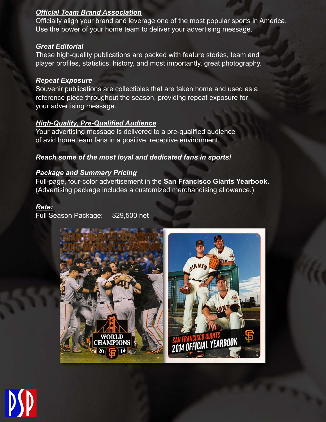#### *Official Team Brand Association*

Officially align your brand and leverage one of the most popular sports in America. Use the power of your home team to deliver your advertising message.

#### *Great Editorial*

These high-quality publications are packed with feature stories, team and player profiles, statistics, history, and most importantly, great photography.

#### *Repeat Exposure*

Souvenir publications are collectibles that are taken home and used as a reference piece throughout the season, providing repeat exposure for your advertising message.

#### *High-Quality, Pre-Qualified Audience*

Your advertising message is delivered to a pre-qualified audience of avid home team fans in a positive, receptive environment.

#### *Reach some of the most loyal and dedicated fans in sports!*

#### *Package and Summary Pricing*

Full-page, four-color advertisement in the **San Francisco Giants Yearbook.** (Advertising package includes a customized merchandising allowance.)

#### *Rate:*

Full Season Package: \$29,500 net



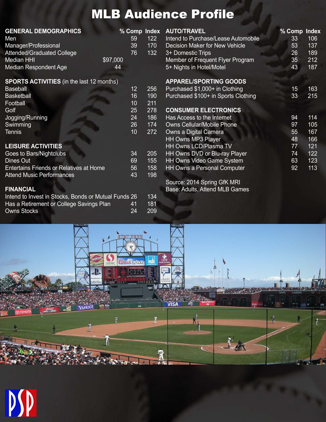## MLB Audience Profile

| <b>GENERAL DEMOGRAPHICS</b><br>Men<br>Manager/Professional<br><b>Attended/Graduated College</b><br><b>Median HHI</b><br><b>Median Respondent Age</b> | \$97,000<br>44 | % Comp Index AU<br>122<br>59<br>39<br>170<br>132<br>76 | Inte<br><b>De</b><br>$3+$<br>Me<br>$5+$ |
|------------------------------------------------------------------------------------------------------------------------------------------------------|----------------|--------------------------------------------------------|-----------------------------------------|
| <b>SPORTS ACTIVITIES</b> (in the last 12 months)                                                                                                     |                |                                                        | <b>AP</b>                               |

| <b>Baseball</b>           | 12 | 256 |
|---------------------------|----|-----|
| <b>Basketball</b>         | 16 | 190 |
| Football                  | 10 | 211 |
| Golf                      | 25 | 278 |
| Jogging/Running           | 24 | 186 |
| Swimming                  | 26 | 174 |
| <b>Tennis</b>             | 10 | 272 |
|                           |    |     |
| <b>LEISURE ACTIVITIES</b> |    |     |
|                           |    |     |

| Goes to Bars/Nightclubs                 | :34 | 205 |
|-----------------------------------------|-----|-----|
| Dines Out                               | 69  | 155 |
| Entertains Friends or Relatives at Home | 56. | 158 |
| <b>Attend Music Performances</b>        | 43  | 198 |
|                                         |     |     |

#### **FINANCIAL**

| Intend to Invest in Stocks, Bonds or Mutual Funds 26 |           | 134  |
|------------------------------------------------------|-----------|------|
| Has a Retirement or College Savings Plan             | <b>41</b> | 181  |
| Owns Stocks                                          |           | -209 |

#### **AUTO/TRAVEL** % Comp Index<br>
and to Purchase/Lease Automobile 33 106 **Ind to Purchase/Lease Automobile** cision Maker for New Vehicle 53 137 **26 Domestic Trips 26 189** mber of Frequent Flyer Program 35 212 **The Nights in Hotel/Motel 43 187 PAREL/SPORTING GOODS** Purchased \$1,000+ in Clothing 15 163 Purchased \$100+ in Sports Clothing 33 215 **CONSUMER ELECTRONICS** Has Access to the Internet 114 Owns Cellular/Mobile Phone 97 105 Owns a Digital Camera 55 167 HH Owns MP3 Player 166 HH Owns LCD/Plasma TV 77 121 HH Owns DVD or Blu-ray Player 74 122 HH Owns Video Game System 63 123 HH Owns a Personal Computer **92** 113

Source: 2014 Spring GfK MRI Base: Adults, Attend MLB Games